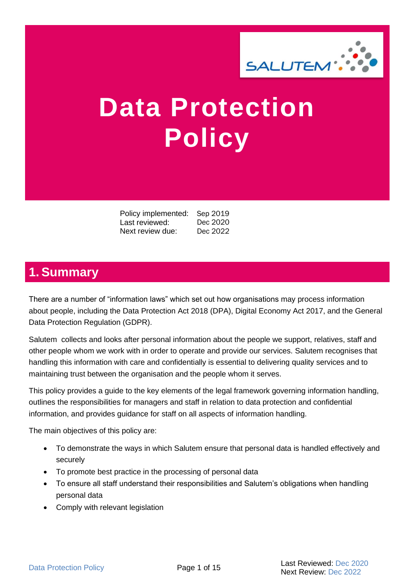

# **Data Protection Policy**

Policy implemented: Sep 2019<br>Last reviewed: Dec 2020 Last reviewed: Next review due: Dec 2022

# <span id="page-0-0"></span>**1. Summary**

There are a number of "information laws" which set out how organisations may process information about people, including the Data Protection Act 2018 (DPA), Digital Economy Act 2017, and the General Data Protection Regulation (GDPR).

Salutem collects and looks after personal information about the people we support, relatives, staff and other people whom we work with in order to operate and provide our services. Salutem recognises that handling this information with care and confidentially is essential to delivering quality services and to maintaining trust between the organisation and the people whom it serves.

This policy provides a guide to the key elements of the legal framework governing information handling, outlines the responsibilities for managers and staff in relation to data protection and confidential information, and provides guidance for staff on all aspects of information handling.

The main objectives of this policy are:

- To demonstrate the ways in which Salutem ensure that personal data is handled effectively and securely
- To promote best practice in the processing of personal data
- To ensure all staff understand their responsibilities and Salutem's obligations when handling personal data
- Comply with relevant legislation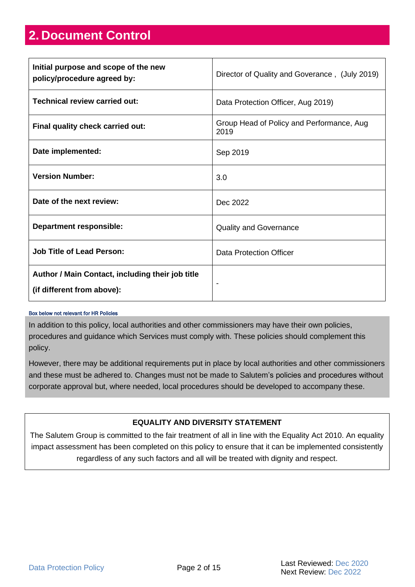# <span id="page-1-0"></span>**2. Document Control**

| Initial purpose and scope of the new<br>policy/procedure agreed by:            | Director of Quality and Goverance, (July 2019)    |
|--------------------------------------------------------------------------------|---------------------------------------------------|
| Technical review carried out:                                                  | Data Protection Officer, Aug 2019)                |
| Final quality check carried out:                                               | Group Head of Policy and Performance, Aug<br>2019 |
| Date implemented:                                                              | Sep 2019                                          |
| <b>Version Number:</b>                                                         | 3.0                                               |
| Date of the next review:                                                       | Dec 2022                                          |
| <b>Department responsible:</b>                                                 | <b>Quality and Governance</b>                     |
| <b>Job Title of Lead Person:</b>                                               | <b>Data Protection Officer</b>                    |
| Author / Main Contact, including their job title<br>(if different from above): | -                                                 |

#### Box below not relevant for HR Policies

In addition to this policy, local authorities and other commissioners may have their own policies, procedures and guidance which Services must comply with. These policies should complement this policy.

However, there may be additional requirements put in place by local authorities and other commissioners and these must be adhered to. Changes must not be made to Salutem's policies and procedures without corporate approval but, where needed, local procedures should be developed to accompany these.

#### **EQUALITY AND DIVERSITY STATEMENT**

The Salutem Group is committed to the fair treatment of all in line with the Equality Act 2010. An equality impact assessment has been completed on this policy to ensure that it can be implemented consistently regardless of any such factors and all will be treated with dignity and respect.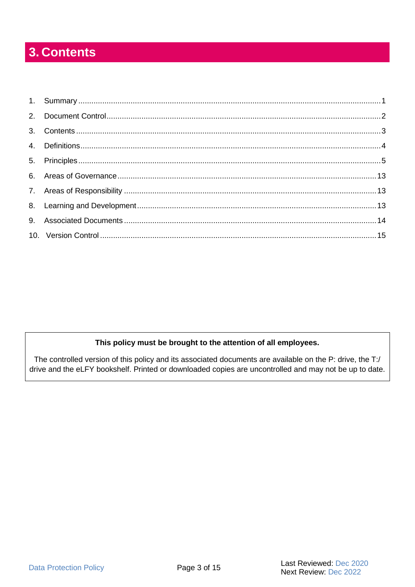# <span id="page-2-0"></span>3. Contents

#### This policy must be brought to the attention of all employees.

The controlled version of this policy and its associated documents are available on the P: drive, the T:/ drive and the eLFY bookshelf. Printed or downloaded copies are uncontrolled and may not be up to date.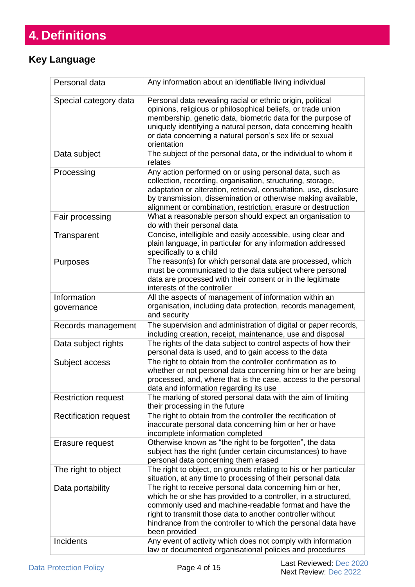# <span id="page-3-0"></span>**4. Definitions**

### **Key Language**

<span id="page-3-4"></span><span id="page-3-3"></span><span id="page-3-2"></span><span id="page-3-1"></span>

| Personal data                | Any information about an identifiable living individual                                                                                                                                                                                                                                                                               |
|------------------------------|---------------------------------------------------------------------------------------------------------------------------------------------------------------------------------------------------------------------------------------------------------------------------------------------------------------------------------------|
| Special category data        | Personal data revealing racial or ethnic origin, political<br>opinions, religious or philosophical beliefs, or trade union<br>membership, genetic data, biometric data for the purpose of<br>uniquely identifying a natural person, data concerning health<br>or data concerning a natural person's sex life or sexual<br>orientation |
| Data subject                 | The subject of the personal data, or the individual to whom it<br>relates                                                                                                                                                                                                                                                             |
| Processing                   | Any action performed on or using personal data, such as<br>collection, recording, organisation, structuring, storage,<br>adaptation or alteration, retrieval, consultation, use, disclosure<br>by transmission, dissemination or otherwise making available,<br>alignment or combination, restriction, erasure or destruction         |
| Fair processing              | What a reasonable person should expect an organisation to<br>do with their personal data                                                                                                                                                                                                                                              |
| Transparent                  | Concise, intelligible and easily accessible, using clear and<br>plain language, in particular for any information addressed<br>specifically to a child                                                                                                                                                                                |
| Purposes                     | The reason(s) for which personal data are processed, which<br>must be communicated to the data subject where personal<br>data are processed with their consent or in the legitimate<br>interests of the controller                                                                                                                    |
| Information<br>governance    | All the aspects of management of information within an<br>organisation, including data protection, records management,<br>and security                                                                                                                                                                                                |
| Records management           | The supervision and administration of digital or paper records,<br>including creation, receipt, maintenance, use and disposal                                                                                                                                                                                                         |
| Data subject rights          | The rights of the data subject to control aspects of how their<br>personal data is used, and to gain access to the data                                                                                                                                                                                                               |
| Subject access               | The right to obtain from the controller confirmation as to<br>whether or not personal data concerning him or her are being<br>processed, and, where that is the case, access to the personal<br>data and information regarding its use                                                                                                |
| <b>Restriction request</b>   | The marking of stored personal data with the aim of limiting<br>their processing in the future                                                                                                                                                                                                                                        |
| <b>Rectification request</b> | The right to obtain from the controller the rectification of<br>inaccurate personal data concerning him or her or have<br>incomplete information completed                                                                                                                                                                            |
| Erasure request              | Otherwise known as "the right to be forgotten", the data<br>subject has the right (under certain circumstances) to have<br>personal data concerning them erased                                                                                                                                                                       |
| The right to object          | The right to object, on grounds relating to his or her particular<br>situation, at any time to processing of their personal data                                                                                                                                                                                                      |
| Data portability             | The right to receive personal data concerning him or her,<br>which he or she has provided to a controller, in a structured,<br>commonly used and machine-readable format and have the<br>right to transmit those data to another controller without<br>hindrance from the controller to which the personal data have<br>been provided |
| <b>Incidents</b>             | Any event of activity which does not comply with information<br>law or documented organisational policies and procedures                                                                                                                                                                                                              |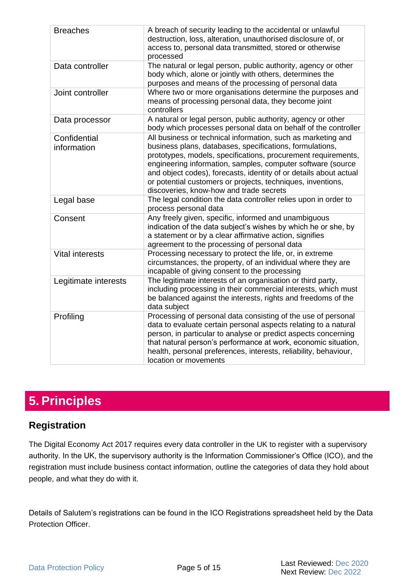<span id="page-4-2"></span><span id="page-4-1"></span>

| <b>Breaches</b>             | A breach of security leading to the accidental or unlawful<br>destruction, loss, alteration, unauthorised disclosure of, or<br>access to, personal data transmitted, stored or otherwise<br>processed                                                                                                                                                                                                                                   |
|-----------------------------|-----------------------------------------------------------------------------------------------------------------------------------------------------------------------------------------------------------------------------------------------------------------------------------------------------------------------------------------------------------------------------------------------------------------------------------------|
| Data controller             | The natural or legal person, public authority, agency or other<br>body which, alone or jointly with others, determines the<br>purposes and means of the processing of personal data                                                                                                                                                                                                                                                     |
| Joint controller            | Where two or more organisations determine the purposes and<br>means of processing personal data, they become joint<br>controllers                                                                                                                                                                                                                                                                                                       |
| Data processor              | A natural or legal person, public authority, agency or other<br>body which processes personal data on behalf of the controller                                                                                                                                                                                                                                                                                                          |
| Confidential<br>information | All business or technical information, such as marketing and<br>business plans, databases, specifications, formulations,<br>prototypes, models, specifications, procurement requirements,<br>engineering information, samples, computer software (source<br>and object codes), forecasts, identity of or details about actual<br>or potential customers or projects, techniques, inventions,<br>discoveries, know-how and trade secrets |
| Legal base                  | The legal condition the data controller relies upon in order to<br>process personal data                                                                                                                                                                                                                                                                                                                                                |
| Consent                     | Any freely given, specific, informed and unambiguous<br>indication of the data subject's wishes by which he or she, by<br>a statement or by a clear affirmative action, signifies<br>agreement to the processing of personal data                                                                                                                                                                                                       |
| <b>Vital interests</b>      | Processing necessary to protect the life, or, in extreme<br>circumstances, the property, of an individual where they are<br>incapable of giving consent to the processing                                                                                                                                                                                                                                                               |
| Legitimate interests        | The legitimate interests of an organisation or third party,<br>including processing in their commercial interests, which must<br>be balanced against the interests, rights and freedoms of the<br>data subject                                                                                                                                                                                                                          |
| Profiling                   | Processing of personal data consisting of the use of personal<br>data to evaluate certain personal aspects relating to a natural<br>person, in particular to analyse or predict aspects concerning<br>that natural person's performance at work, economic situation,<br>health, personal preferences, interests, reliability, behaviour,<br>location or movements                                                                       |

# <span id="page-4-5"></span><span id="page-4-4"></span><span id="page-4-3"></span><span id="page-4-0"></span>**5. Principles**

### **Registration**

The Digital Economy Act 2017 requires every data controller in the UK to register with a supervisory authority. In the UK, the supervisory authority is the Information Commissioner's Office (ICO), and the registration must include business contact information, outline the categories of data they hold about people, and what they do with it.

Details of Salutem's registrations can be found in the ICO Registrations spreadsheet held by the Data Protection Officer.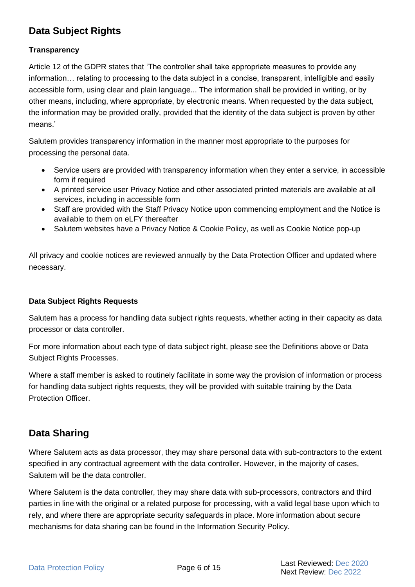# **Data Subject Rights**

#### **Transparency**

Article 12 of the GDPR states that 'The controller shall take appropriate measures to provide any information… relating to processing to the data subject in a concise, transparent, intelligible and easily accessible form, using clear and plain language... The information shall be provided in writing, or by other means, including, where appropriate, by electronic means. When requested by the data subject, the information may be provided orally, provided that the identity of the data subject is proven by other means.'

Salutem provides transparency information in the manner most appropriate to the purposes for processing the personal data.

- Service users are provided with transparency information when they enter a service, in accessible form if required
- A printed service user Privacy Notice and other associated printed materials are available at all services, including in accessible form
- Staff are provided with the Staff Privacy Notice upon commencing employment and the Notice is available to them on eLFY thereafter
- Salutem websites have a Privacy Notice & Cookie Policy, as well as Cookie Notice pop-up

All privacy and cookie notices are reviewed annually by the Data Protection Officer and updated where necessary.

#### **Data Subject Rights Requests**

Salutem has a process for handling data subject rights requests, whether acting in their capacity as data processor or data controller.

For more information about each type of data subject right, please see the Definitions above or Data Subject Rights Processes.

Where a staff member is asked to routinely facilitate in some way the provision of information or process for handling data subject rights requests, they will be provided with suitable training by the Data Protection Officer.

### **Data Sharing**

Where Salutem acts as data processor, they may share personal data with sub-contractors to the extent specified in any contractual agreement with the data controller. However, in the majority of cases, Salutem will be the data controller.

Where Salutem is the data controller, they may share data with sub-processors, contractors and third parties in line with the original or a related purpose for processing, with a valid legal base upon which to rely, and where there are appropriate security safeguards in place. More information about secure mechanisms for data sharing can be found in the Information Security Policy.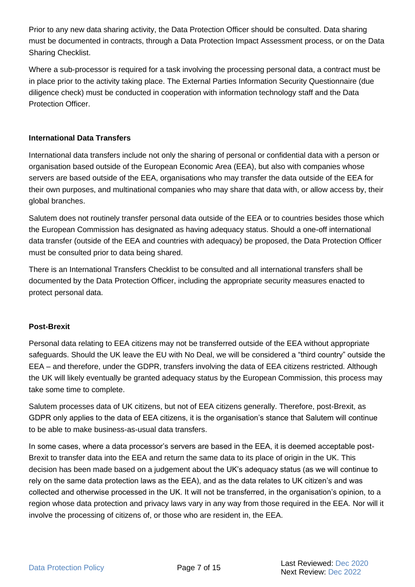Prior to any new data sharing activity, the Data Protection Officer should be consulted. Data sharing must be documented in contracts, through a Data Protection Impact Assessment process, or on the Data Sharing Checklist.

Where a sub-processor is required for a task involving the processing personal data, a contract must be in place prior to the activity taking place. The External Parties Information Security Questionnaire (due diligence check) must be conducted in cooperation with information technology staff and the Data Protection Officer.

#### **International Data Transfers**

International data transfers include not only the sharing of personal or confidential data with a person or organisation based outside of the European Economic Area (EEA), but also with companies whose servers are based outside of the EEA, organisations who may transfer the data outside of the EEA for their own purposes, and multinational companies who may share that data with, or allow access by, their global branches.

Salutem does not routinely transfer personal data outside of the EEA or to countries besides those which the European Commission has designated as having adequacy status. Should a one-off international data transfer (outside of the EEA and countries with adequacy) be proposed, the Data Protection Officer must be consulted prior to data being shared.

There is an International Transfers Checklist to be consulted and all international transfers shall be documented by the Data Protection Officer, including the appropriate security measures enacted to protect personal data.

#### **Post-Brexit**

Personal data relating to EEA citizens may not be transferred outside of the EEA without appropriate safeguards. Should the UK leave the EU with No Deal, we will be considered a "third country" outside the EEA – and therefore, under the GDPR, transfers involving the data of EEA citizens restricted. Although the UK will likely eventually be granted adequacy status by the European Commission, this process may take some time to complete.

Salutem processes data of UK citizens, but not of EEA citizens generally. Therefore, post-Brexit, as GDPR only applies to the data of EEA citizens, it is the organisation's stance that Salutem will continue to be able to make business-as-usual data transfers.

In some cases, where a data processor's servers are based in the EEA, it is deemed acceptable post-Brexit to transfer data into the EEA and return the same data to its place of origin in the UK. This decision has been made based on a judgement about the UK's adequacy status (as we will continue to rely on the same data protection laws as the EEA), and as the data relates to UK citizen's and was collected and otherwise processed in the UK. It will not be transferred, in the organisation's opinion, to a region whose data protection and privacy laws vary in any way from those required in the EEA. Nor will it involve the processing of citizens of, or those who are resident in, the EEA.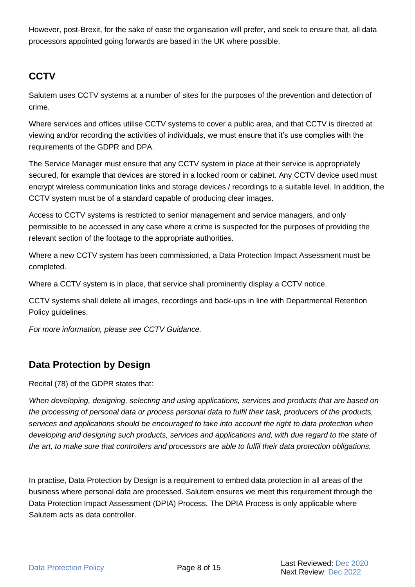However, post-Brexit, for the sake of ease the organisation will prefer, and seek to ensure that, all data processors appointed going forwards are based in the UK where possible.

# **CCTV**

Salutem uses CCTV systems at a number of sites for the purposes of the prevention and detection of crime.

Where services and offices utilise CCTV systems to cover a public area, and that CCTV is directed at viewing and/or recording the activities of individuals, we must ensure that it's use complies with the requirements of the GDPR and DPA.

The Service Manager must ensure that any CCTV system in place at their service is appropriately secured, for example that devices are stored in a locked room or cabinet. Any CCTV device used must encrypt wireless communication links and storage devices / recordings to a suitable level. In addition, the CCTV system must be of a standard capable of producing clear images.

Access to CCTV systems is restricted to senior management and service managers, and only permissible to be accessed in any case where a crime is suspected for the purposes of providing the relevant section of the footage to the appropriate authorities.

Where a new CCTV system has been commissioned, a Data Protection Impact Assessment must be completed.

Where a CCTV system is in place, that service shall prominently display a CCTV notice.

CCTV systems shall delete all images, recordings and back-ups in line with Departmental Retention Policy guidelines.

*For more information, please see CCTV Guidance.*

## **Data Protection by Design**

Recital (78) of the GDPR states that:

*When developing, designing, selecting and using applications, services and products that are based on the processing of personal data or process personal data to fulfil their task, producers of the products, services and applications should be encouraged to take into account the right to data protection when developing and designing such products, services and applications and, with due regard to the state of the art, to make sure that controllers and processors are able to fulfil their data protection obligations.*

In practise, Data Protection by Design is a requirement to embed data protection in all areas of the business where personal data are processed. Salutem ensures we meet this requirement through the Data Protection Impact Assessment (DPIA) Process. The DPIA Process is only applicable where Salutem acts as data controller.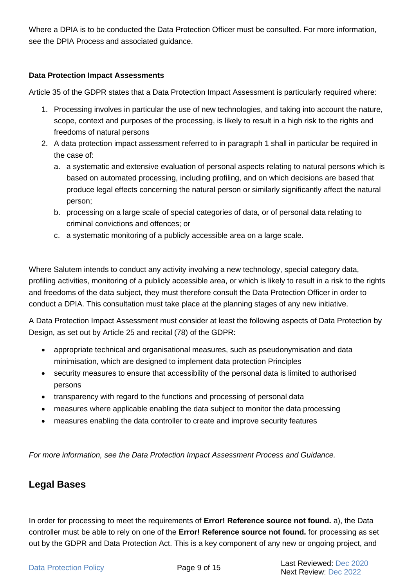Where a DPIA is to be conducted the Data Protection Officer must be consulted. For more information, see the DPIA Process and associated guidance.

#### **Data Protection Impact Assessments**

Article 35 of the GDPR states that a Data Protection Impact Assessment is particularly required where:

- 1. Processing involves in particular the use of new technologies, and taking into account the nature, scope, context and purposes of the processing, is likely to result in a high risk to the rights and freedoms of natural persons
- 2. A data protection impact assessment referred to in paragraph 1 shall in particular be required in the case of:
	- a. a systematic and extensive evaluation of personal aspects relating to natural persons which is based on automated processing, including profiling, and on which decisions are based that produce legal effects concerning the natural person or similarly significantly affect the natural person;
	- b. processing on a large scale of special categories of data, or of personal data relating to criminal convictions and offences; or
	- c. a systematic monitoring of a publicly accessible area on a large scale.

Where Salutem intends to conduct any activity involving a new technology, special category data, profiling activities, monitoring of a publicly accessible area, or which is likely to result in a risk to the rights and freedoms of the data subject, they must therefore consult the Data Protection Officer in order to conduct a DPIA. This consultation must take place at the planning stages of any new initiative.

A Data Protection Impact Assessment must consider at least the following aspects of Data Protection by Design, as set out by Article 25 and recital (78) of the GDPR:

- appropriate technical and organisational measures, such as pseudonymisation and data minimisation, which are designed to implement data protection Principles
- security measures to ensure that accessibility of the personal data is limited to authorised persons
- transparency with regard to the functions and processing of personal data
- measures where applicable enabling the data subject to monitor the data processing
- measures enabling the data controller to create and improve security features

*For more information, see the Data Protection Impact Assessment Process and Guidance.*

### **Legal Bases**

In order for processing to meet the requirements of **Error! Reference source not found.** a), the [Data](#page-4-1)  [controller](#page-4-1) must be able to rely on one of the **Error! Reference source not found.** for processing as set out by the GDPR and Data Protection Act. This is a key component of any new or ongoing project, and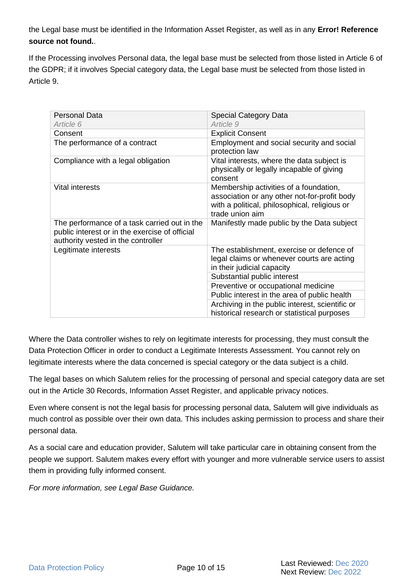the [Legal base](#page-4-2) must be identified in the Information Asset Register, as well as in any **Error! Reference source not found.**.

If the [Processing](#page-3-1) involves [Personal data,](#page-3-2) the legal base must be selected from those listed in Article 6 of the GDPR; if it involves [Special category data,](#page-3-3) the [Legal base](#page-4-2) must be selected from those listed in Article 9.

| Personal Data                                                                                                                        | <b>Special Category Data</b>                                                                                                                               |
|--------------------------------------------------------------------------------------------------------------------------------------|------------------------------------------------------------------------------------------------------------------------------------------------------------|
| Article 6                                                                                                                            | Article 9                                                                                                                                                  |
| Consent                                                                                                                              | <b>Explicit Consent</b>                                                                                                                                    |
| The performance of a contract                                                                                                        | Employment and social security and social<br>protection law                                                                                                |
| Compliance with a legal obligation                                                                                                   | Vital interests, where the data subject is<br>physically or legally incapable of giving<br>consent                                                         |
| Vital interests                                                                                                                      | Membership activities of a foundation,<br>association or any other not-for-profit body<br>with a political, philosophical, religious or<br>trade union aim |
| The performance of a task carried out in the<br>public interest or in the exercise of official<br>authority vested in the controller | Manifestly made public by the Data subject                                                                                                                 |
| Legitimate interests                                                                                                                 | The establishment, exercise or defence of<br>legal claims or whenever courts are acting<br>in their judicial capacity                                      |
|                                                                                                                                      | Substantial public interest                                                                                                                                |
|                                                                                                                                      | Preventive or occupational medicine                                                                                                                        |
|                                                                                                                                      | Public interest in the area of public health                                                                                                               |
|                                                                                                                                      | Archiving in the public interest, scientific or<br>historical research or statistical purposes                                                             |

Where the [Data controller](#page-4-1) wishes to rely on legitimate interests for processing, they must consult the Data Protection Officer in order to conduct a Legitimate Interests Assessment. You cannot rely on legitimate interests where the data concerned is special category or the data subject is a child.

The legal bases on which Salutem relies for the processing of personal and special category data are set out in the Article 30 Records, Information Asset Register, and applicable privacy notices.

Even where consent is not the legal basis for processing personal data, Salutem will give individuals as much control as possible over their own data. This includes asking permission to process and share their personal data.

As a social care and education provider, Salutem will take particular care in obtaining consent from the people we support. Salutem makes every effort with younger and more vulnerable service users to assist them in providing fully informed consent.

*For more information, see Legal Base Guidance.*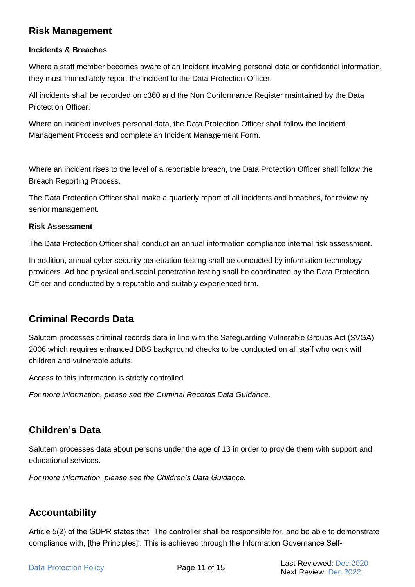### **Risk Management**

#### **Incidents & Breaches**

Where a staff member becomes aware of an Incident involving personal data or confidential information, they must immediately report the incident to the Data Protection Officer.

All incidents shall be recorded on c360 and the Non Conformance Register maintained by the Data Protection Officer.

Where an incident involves personal data, the Data Protection Officer shall follow the Incident Management Process and complete an Incident Management Form.

Where an incident rises to the level of a reportable breach, the Data Protection Officer shall follow the Breach Reporting Process.

The Data Protection Officer shall make a quarterly report of all incidents and breaches, for review by senior management.

#### **Risk Assessment**

The Data Protection Officer shall conduct an annual information compliance internal risk assessment.

In addition, annual cyber security penetration testing shall be conducted by information technology providers. Ad hoc physical and social penetration testing shall be coordinated by the Data Protection Officer and conducted by a reputable and suitably experienced firm.

### **Criminal Records Data**

Salutem processes criminal records data in line with the Safeguarding Vulnerable Groups Act (SVGA) 2006 which requires enhanced DBS background checks to be conducted on all staff who work with children and vulnerable adults.

Access to this information is strictly controlled.

*For more information, please see the Criminal Records Data Guidance.*

### **Children's Data**

Salutem processes data about persons under the age of 13 in order to provide them with support and educational services.

*For more information, please see the Children's Data Guidance.*

### **Accountability**

Article 5(2) of the GDPR states that "The controller shall be responsible for, and be able to demonstrate compliance with, [the Principles]'. This is achieved through the Information Governance Self-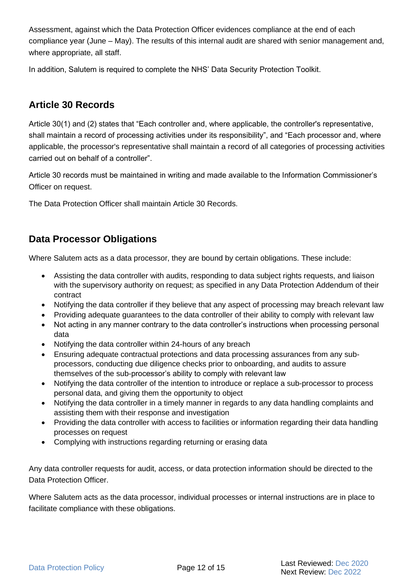Assessment, against which the Data Protection Officer evidences compliance at the end of each compliance year (June – May). The results of this internal audit are shared with senior management and, where appropriate, all staff.

In addition, Salutem is required to complete the NHS' Data Security Protection Toolkit.

### **Article 30 Records**

Article 30(1) and (2) states that "Each controller and, where applicable, the controller's representative, shall maintain a record of processing activities under its responsibility", and "Each processor and, where applicable, the processor's representative shall maintain a record of all categories of processing activities carried out on behalf of a controller".

Article 30 records must be maintained in writing and made available to the Information Commissioner's Officer on request.

The Data Protection Officer shall maintain Article 30 Records.

### **Data Processor Obligations**

Where Salutem acts as a data processor, they are bound by certain obligations. These include:

- Assisting the data controller with audits, responding to data subject rights requests, and liaison with the supervisory authority on request; as specified in any Data Protection Addendum of their contract
- Notifying the data controller if they believe that any aspect of processing may breach relevant law
- Providing adequate guarantees to the data controller of their ability to comply with relevant law
- Not acting in any manner contrary to the data controller's instructions when processing personal data
- Notifying the data controller within 24-hours of any breach
- Ensuring adequate contractual protections and data processing assurances from any subprocessors, conducting due diligence checks prior to onboarding, and audits to assure themselves of the sub-processor's ability to comply with relevant law
- Notifying the data controller of the intention to introduce or replace a sub-processor to process personal data, and giving them the opportunity to object
- Notifying the data controller in a timely manner in regards to any data handling complaints and assisting them with their response and investigation
- Providing the data controller with access to facilities or information regarding their data handling processes on request
- Complying with instructions regarding returning or erasing data

Any data controller requests for audit, access, or data protection information should be directed to the Data Protection Officer.

Where Salutem acts as the data processor, individual processes or internal instructions are in place to facilitate compliance with these obligations.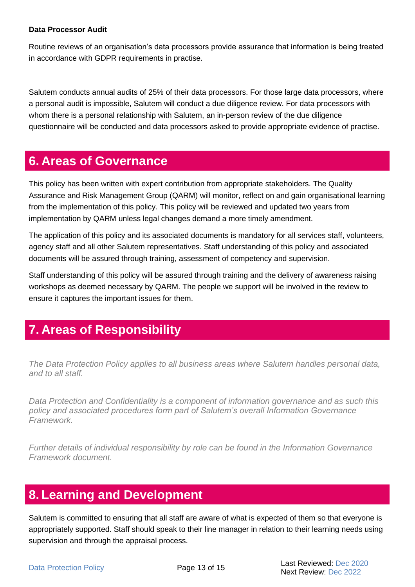#### **Data Processor Audit**

Routine reviews of an organisation's data processors provide assurance that information is being treated in accordance with GDPR requirements in practise.

Salutem conducts annual audits of 25% of their data processors. For those large data processors, where a personal audit is impossible, Salutem will conduct a due diligence review. For data processors with whom there is a personal relationship with Salutem, an in-person review of the due diligence questionnaire will be conducted and data processors asked to provide appropriate evidence of practise.

# <span id="page-12-0"></span>**6. Areas of Governance**

This policy has been written with expert contribution from appropriate stakeholders. The Quality Assurance and Risk Management Group (QARM) will monitor, reflect on and gain organisational learning from the implementation of this policy. This policy will be reviewed and updated two years from implementation by QARM unless legal changes demand a more timely amendment.

The application of this policy and its associated documents is mandatory for all services staff, volunteers, agency staff and all other Salutem representatives. Staff understanding of this policy and associated documents will be assured through training, assessment of competency and supervision.

Staff understanding of this policy will be assured through training and the delivery of awareness raising workshops as deemed necessary by QARM. The people we support will be involved in the review to ensure it captures the important issues for them.

# <span id="page-12-1"></span>**7. Areas of Responsibility**

*The Data Protection Policy applies to all business areas where Salutem handles personal data, and to all staff.*

*Data Protection and Confidentiality is a component of information governance and as such this policy and associated procedures form part of Salutem's overall Information Governance Framework.*

*Further details of individual responsibility by role can be found in the Information Governance Framework document.* 

# <span id="page-12-2"></span>**8. Learning and Development**

Salutem is committed to ensuring that all staff are aware of what is expected of them so that everyone is appropriately supported. Staff should speak to their line manager in relation to their learning needs using supervision and through the appraisal process.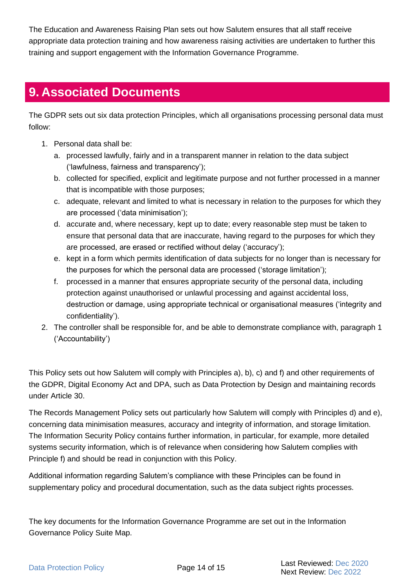The Education and Awareness Raising Plan sets out how Salutem ensures that all staff receive appropriate data protection training and how awareness raising activities are undertaken to further this training and support engagement with the Information Governance Programme.

# <span id="page-13-0"></span>**9. Associated Documents**

The GDPR sets out six data protection Principles, which all organisations processing personal data must follow:

- 1. Personal data shall be:
	- a. processed lawfully, fairly and in a transparent manner in relation to the data subject ('lawfulness, fairness and transparency');
	- b. collected for specified, explicit and legitimate purpose and not further processed in a manner that is incompatible with those purposes;
	- c. adequate, relevant and limited to what is necessary in relation to the purposes for which they are processed ('data minimisation');
	- d. accurate and, where necessary, kept up to date; every reasonable step must be taken to ensure that personal data that are inaccurate, having regard to the purposes for which they are processed, are erased or rectified without delay ('accuracy');
	- e. kept in a form which permits identification of data subjects for no longer than is necessary for the purposes for which the personal data are processed ('storage limitation');
	- f. processed in a manner that ensures appropriate security of the personal data, including protection against unauthorised or unlawful processing and against accidental loss, destruction or damage, using appropriate technical or organisational measures ('integrity and confidentiality').
- 2. The controller shall be responsible for, and be able to demonstrate compliance with, paragraph 1 ('Accountability')

This Policy sets out how Salutem will comply with Principles a), b), c) and f) and other requirements of the GDPR, Digital Economy Act and DPA, such as Data Protection by Design and maintaining records under Article 30.

The Records Management Policy sets out particularly how Salutem will comply with Principles d) and e), concerning data minimisation measures, accuracy and integrity of information, and storage limitation. The Information Security Policy contains further information, in particular, for example, more detailed systems security information, which is of relevance when considering how Salutem complies with Principle f) and should be read in conjunction with this Policy.

Additional information regarding Salutem's compliance with these Principles can be found in supplementary policy and procedural documentation, such as the data subject rights processes.

The key documents for the Information Governance Programme are set out in the Information Governance Policy Suite Map.